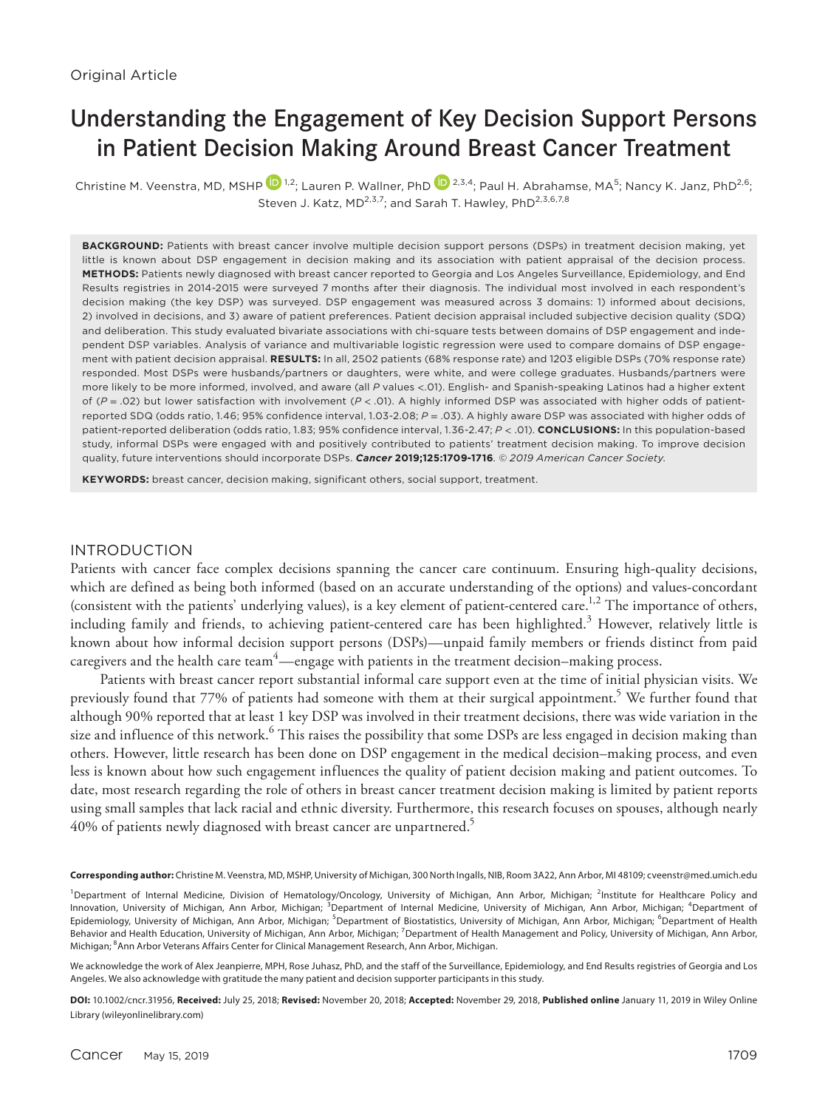# Understanding the Engagement of Key Decision Support Persons in Patient Decision Making Around Breast Cancer Treatment

Christine M. Veenstra, MD, MSHP  $^{12}$  $^{12}$  $^{12}$ ; Lauren P. Wallner, PhD  $^{12}$ , Paul H. Abrahamse, MA<sup>5</sup>; Nancy K. Janz, PhD<sup>2,6</sup>; Steven J. Katz, MD<sup>2,3,7</sup>; and Sarah T. Hawley, PhD<sup>2,3,6,7,8</sup>

BACKGROUND: Patients with breast cancer involve multiple decision support persons (DSPs) in treatment decision making, yet little is known about DSP engagement in decision making and its association with patient appraisal of the decision process. **METHODS:** Patients newly diagnosed with breast cancer reported to Georgia and Los Angeles Surveillance, Epidemiology, and End Results registries in 2014-2015 were surveyed 7 months after their diagnosis. The individual most involved in each respondent's decision making (the key DSP) was surveyed. DSP engagement was measured across 3 domains: 1) informed about decisions, 2) involved in decisions, and 3) aware of patient preferences. Patient decision appraisal included subjective decision quality (SDQ) and deliberation. This study evaluated bivariate associations with chi-square tests between domains of DSP engagement and independent DSP variables. Analysis of variance and multivariable logistic regression were used to compare domains of DSP engagement with patient decision appraisal. **RESULTS:** In all, 2502 patients (68% response rate) and 1203 eligible DSPs (70% response rate) responded. Most DSPs were husbands/partners or daughters, were white, and were college graduates. Husbands/partners were more likely to be more informed, involved, and aware (all *P* values <.01). English- and Spanish-speaking Latinos had a higher extent of (*P* = .02) but lower satisfaction with involvement (*P* < .01). A highly informed DSP was associated with higher odds of patientreported SDQ (odds ratio, 1.46; 95% confidence interval, 1.03-2.08; *P* = .03). A highly aware DSP was associated with higher odds of patient-reported deliberation (odds ratio, 1.83; 95% confidence interval, 1.36-2.47; *P* < .01). **CONCLUSIONS:** In this population-based study, informal DSPs were engaged with and positively contributed to patients' treatment decision making. To improve decision quality, future interventions should incorporate DSPs. *Cancer* **2019;125:1709-1716**. *© 2019 American Cancer Society*.

**KEYWORDS:** breast cancer, decision making, significant others, social support, treatment.

#### INTRODUCTION

Patients with cancer face complex decisions spanning the cancer care continuum. Ensuring high-quality decisions, which are defined as being both informed (based on an accurate understanding of the options) and values-concordant (consistent with the patients' underlying values), is a key element of patient-centered care.<sup>1,2</sup> The importance of others, including family and friends, to achieving patient-centered care has been highlighted. $^3$  However, relatively little is known about how informal decision support persons (DSPs)—unpaid family members or friends distinct from paid caregivers and the health care team $^4$ —engage with patients in the treatment decision–making process.

Patients with breast cancer report substantial informal care support even at the time of initial physician visits. We previously found that 77% of patients had someone with them at their surgical appointment.<sup>5</sup> We further found that although 90% reported that at least 1 key DSP was involved in their treatment decisions, there was wide variation in the size and influence of this network.<sup>6</sup> This raises the possibility that some DSPs are less engaged in decision making than others. However, little research has been done on DSP engagement in the medical decision–making process, and even less is known about how such engagement influences the quality of patient decision making and patient outcomes. To date, most research regarding the role of others in breast cancer treatment decision making is limited by patient reports using small samples that lack racial and ethnic diversity. Furthermore, this research focuses on spouses, although nearly 40% of patients newly diagnosed with breast cancer are unpartnered.<sup>5</sup>

**Corresponding author:** Christine M. Veenstra, MD, MSHP, University of Michigan, 300 North Ingalls, NIB, Room 3A22, Ann Arbor, MI 48109; [cveenstr@med.umich.edu](mailto:cveenstr@med.umich.edu)

<sup>1</sup>Department of Internal Medicine, Division of Hematology/Oncology, University of Michigan, Ann Arbor, Michigan; <sup>2</sup>Institute for Healthcare Policy and Innovation, University of Michigan, Ann Arbor, Michigan; <sup>3</sup>Department of Internal Medicine, University of Michigan, Ann Arbor, Michigan; <sup>4</sup>Department of Epidemiology, University of Michigan, Ann Arbor, Michigan; <sup>5</sup>Department of Biostatistics, University of Michigan, Ann Arbor, Michigan; <sup>6</sup>Department of Health Behavior and Health Education, University of Michigan, Ann Arbor, Michigan; <sup>7</sup>Department of Health Management and Policy, University of Michigan, Ann Arbor, Michigan; <sup>8</sup>Ann Arbor Veterans Affairs Center for Clinical Management Research, Ann Arbor, Michigan.

We acknowledge the work of Alex Jeanpierre, MPH, Rose Juhasz, PhD, and the staff of the Surveillance, Epidemiology, and End Results registries of Georgia and Los Angeles. We also acknowledge with gratitude the many patient and decision supporter participants in this study.

**DOI:** 10.1002/cncr.31956, **Received:** July 25, 2018; **Revised:** November 20, 2018; **Accepted:** November 29, 2018, **Published online** January 11, 2019 in Wiley Online Library (wileyonlinelibrary.com)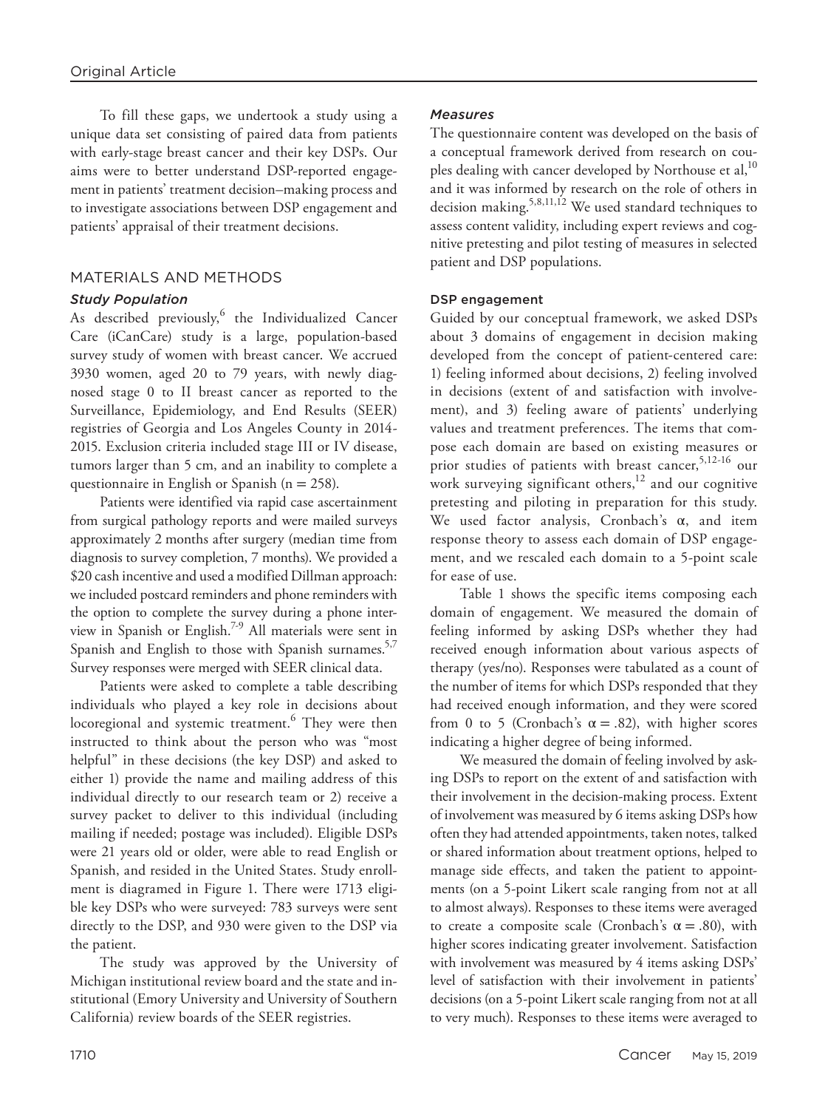To fill these gaps, we undertook a study using a unique data set consisting of paired data from patients with early-stage breast cancer and their key DSPs. Our aims were to better understand DSP-reported engagement in patients' treatment decision–making process and to investigate associations between DSP engagement and patients' appraisal of their treatment decisions.

# MATERIALS AND METHODS

# *Study Population*

As described previously, the Individualized Cancer Care (iCanCare) study is a large, population-based survey study of women with breast cancer. We accrued 3930 women, aged 20 to 79 years, with newly diagnosed stage 0 to II breast cancer as reported to the Surveillance, Epidemiology, and End Results (SEER) registries of Georgia and Los Angeles County in 2014- 2015. Exclusion criteria included stage III or IV disease, tumors larger than 5 cm, and an inability to complete a questionnaire in English or Spanish ( $n = 258$ ).

Patients were identified via rapid case ascertainment from surgical pathology reports and were mailed surveys approximately 2 months after surgery (median time from diagnosis to survey completion, 7 months). We provided a \$20 cash incentive and used a modified Dillman approach: we included postcard reminders and phone reminders with the option to complete the survey during a phone interview in Spanish or English.<sup>7-9</sup> All materials were sent in Spanish and English to those with Spanish surnames.<sup>5,7</sup> Survey responses were merged with SEER clinical data.

Patients were asked to complete a table describing individuals who played a key role in decisions about locoregional and systemic treatment.<sup>6</sup> They were then instructed to think about the person who was "most helpful" in these decisions (the key DSP) and asked to either 1) provide the name and mailing address of this individual directly to our research team or 2) receive a survey packet to deliver to this individual (including mailing if needed; postage was included). Eligible DSPs were 21 years old or older, were able to read English or Spanish, and resided in the United States. Study enrollment is diagramed in Figure 1. There were 1713 eligible key DSPs who were surveyed: 783 surveys were sent directly to the DSP, and 930 were given to the DSP via the patient.

The study was approved by the University of Michigan institutional review board and the state and institutional (Emory University and University of Southern California) review boards of the SEER registries.

# *Measures*

The questionnaire content was developed on the basis of a conceptual framework derived from research on couples dealing with cancer developed by Northouse et al,<sup>10</sup> and it was informed by research on the role of others in decision making.5,8,11,12 We used standard techniques to assess content validity, including expert reviews and cognitive pretesting and pilot testing of measures in selected patient and DSP populations.

# DSP engagement

Guided by our conceptual framework, we asked DSPs about 3 domains of engagement in decision making developed from the concept of patient-centered care: 1) feeling informed about decisions, 2) feeling involved in decisions (extent of and satisfaction with involvement), and 3) feeling aware of patients' underlying values and treatment preferences. The items that compose each domain are based on existing measures or prior studies of patients with breast cancer,<sup>5,12-16</sup> our work surveying significant others, $12$  and our cognitive pretesting and piloting in preparation for this study. We used factor analysis, Cronbach's α, and item response theory to assess each domain of DSP engagement, and we rescaled each domain to a 5-point scale for ease of use.

Table 1 shows the specific items composing each domain of engagement. We measured the domain of feeling informed by asking DSPs whether they had received enough information about various aspects of therapy (yes/no). Responses were tabulated as a count of the number of items for which DSPs responded that they had received enough information, and they were scored from 0 to 5 (Cronbach's  $\alpha = .82$ ), with higher scores indicating a higher degree of being informed.

We measured the domain of feeling involved by asking DSPs to report on the extent of and satisfaction with their involvement in the decision-making process. Extent of involvement was measured by 6 items asking DSPs how often they had attended appointments, taken notes, talked or shared information about treatment options, helped to manage side effects, and taken the patient to appointments (on a 5-point Likert scale ranging from not at all to almost always). Responses to these items were averaged to create a composite scale (Cronbach's  $\alpha = .80$ ), with higher scores indicating greater involvement. Satisfaction with involvement was measured by 4 items asking DSPs' level of satisfaction with their involvement in patients' decisions (on a 5-point Likert scale ranging from not at all to very much). Responses to these items were averaged to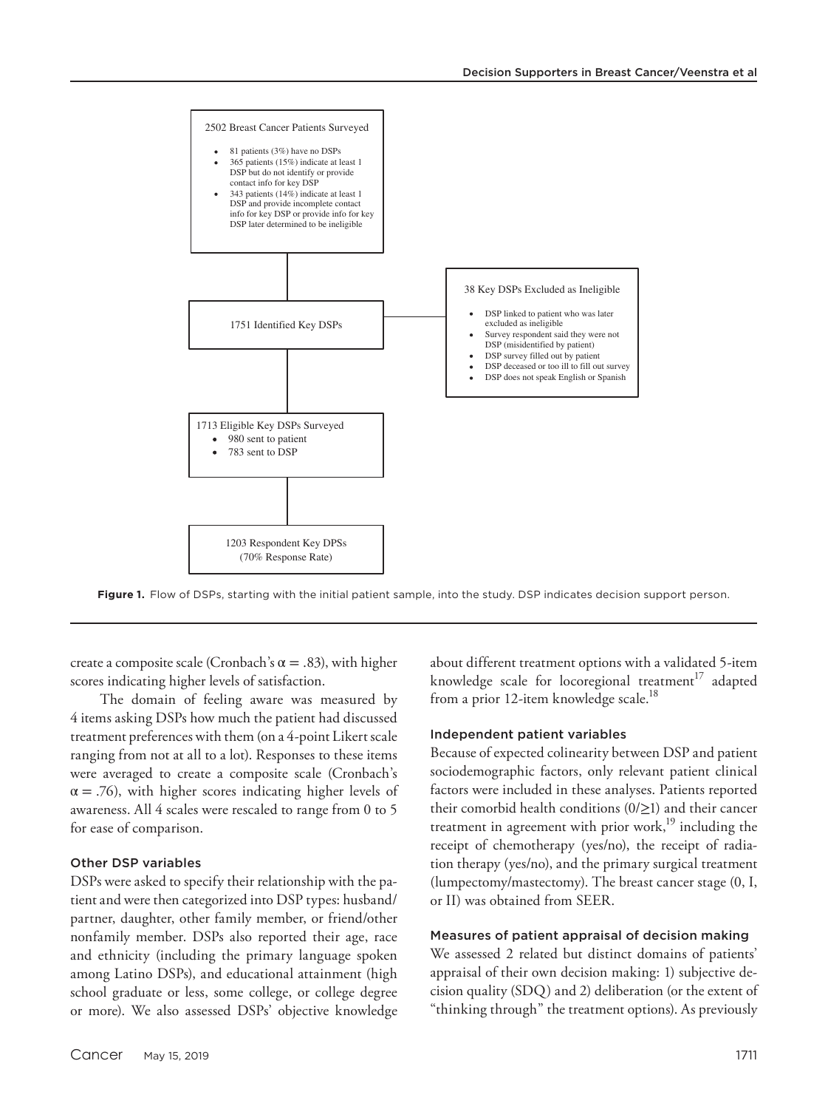

**Figure 1.** Flow of DSPs, starting with the initial patient sample, into the study. DSP indicates decision support person.

create a composite scale (Cronbach's  $\alpha = .83$ ), with higher scores indicating higher levels of satisfaction.

The domain of feeling aware was measured by 4 items asking DSPs how much the patient had discussed treatment preferences with them (on a 4-point Likert scale ranging from not at all to a lot). Responses to these items were averaged to create a composite scale (Cronbach's  $\alpha = .76$ ), with higher scores indicating higher levels of awareness. All 4 scales were rescaled to range from 0 to 5 for ease of comparison.

## Other DSP variables

DSPs were asked to specify their relationship with the patient and were then categorized into DSP types: husband/ partner, daughter, other family member, or friend/other nonfamily member. DSPs also reported their age, race and ethnicity (including the primary language spoken among Latino DSPs), and educational attainment (high school graduate or less, some college, or college degree or more). We also assessed DSPs' objective knowledge about different treatment options with a validated 5-item knowledge scale for locoregional treatment<sup>17</sup> adapted from a prior 12-item knowledge scale.<sup>18</sup>

#### Independent patient variables

Because of expected colinearity between DSP and patient sociodemographic factors, only relevant patient clinical factors were included in these analyses. Patients reported their comorbid health conditions  $(0/\geq 1)$  and their cancer treatment in agreement with prior work,<sup>19</sup> including the receipt of chemotherapy (yes/no), the receipt of radiation therapy (yes/no), and the primary surgical treatment (lumpectomy/mastectomy). The breast cancer stage (0, I, or II) was obtained from SEER.

#### Measures of patient appraisal of decision making

We assessed 2 related but distinct domains of patients' appraisal of their own decision making: 1) subjective decision quality (SDQ) and 2) deliberation (or the extent of "thinking through" the treatment options). As previously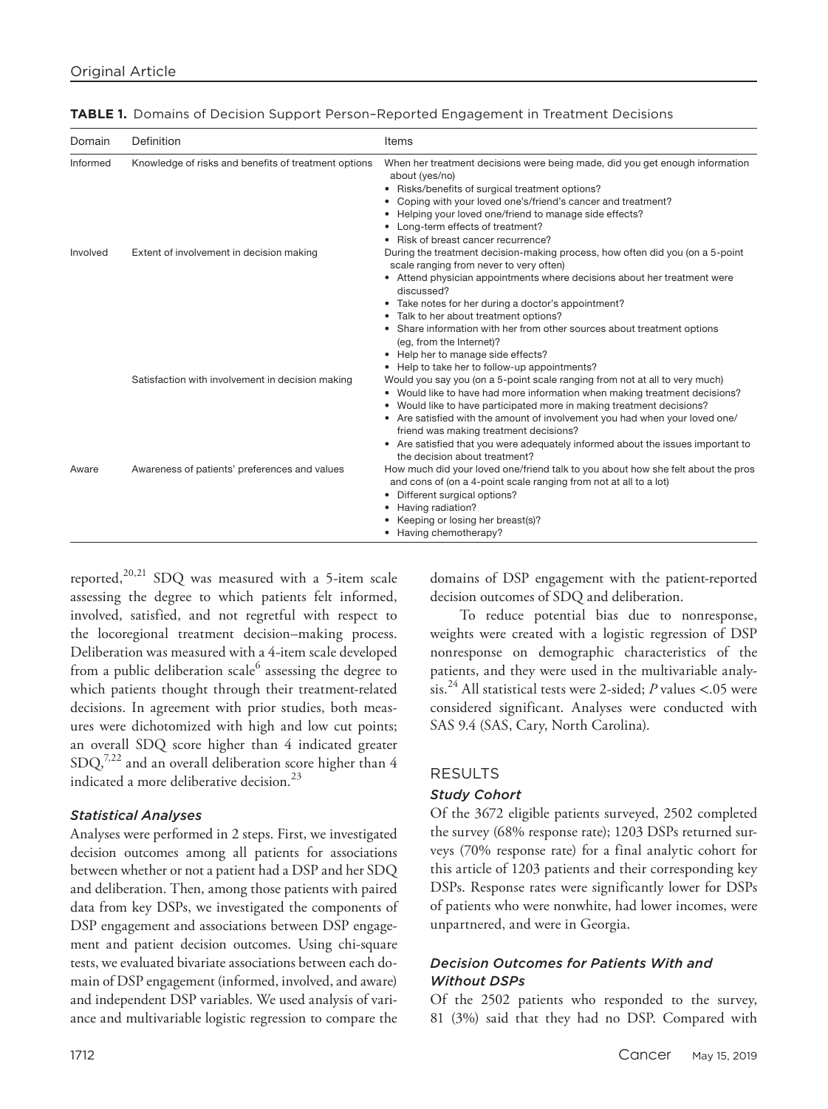| Domain   | Definition                                           | Items                                                                                                                                                                                                                 |
|----------|------------------------------------------------------|-----------------------------------------------------------------------------------------------------------------------------------------------------------------------------------------------------------------------|
| Informed | Knowledge of risks and benefits of treatment options | When her treatment decisions were being made, did you get enough information<br>about (yes/no)<br>• Risks/benefits of surgical treatment options?<br>Coping with your loved one's/friend's cancer and treatment?<br>٠ |
|          |                                                      | Helping your loved one/friend to manage side effects?                                                                                                                                                                 |
|          |                                                      | Long-term effects of treatment?                                                                                                                                                                                       |
|          |                                                      | Risk of breast cancer recurrence?<br>٠                                                                                                                                                                                |
| Involved | Extent of involvement in decision making             | During the treatment decision-making process, how often did you (on a 5-point<br>scale ranging from never to very often)                                                                                              |
|          |                                                      | • Attend physician appointments where decisions about her treatment were<br>discussed?                                                                                                                                |
|          |                                                      | • Take notes for her during a doctor's appointment?                                                                                                                                                                   |
|          |                                                      | Talk to her about treatment options?                                                                                                                                                                                  |
|          |                                                      | Share information with her from other sources about treatment options<br>$\bullet$<br>(eg, from the Internet)?                                                                                                        |
|          |                                                      | • Help her to manage side effects?                                                                                                                                                                                    |
|          |                                                      | • Help to take her to follow-up appointments?                                                                                                                                                                         |
|          | Satisfaction with involvement in decision making     | Would you say you (on a 5-point scale ranging from not at all to very much)                                                                                                                                           |
|          |                                                      | • Would like to have had more information when making treatment decisions?                                                                                                                                            |
|          |                                                      | • Would like to have participated more in making treatment decisions?                                                                                                                                                 |
|          |                                                      | • Are satisfied with the amount of involvement you had when your loved one/<br>friend was making treatment decisions?                                                                                                 |
|          |                                                      | • Are satisfied that you were adequately informed about the issues important to<br>the decision about treatment?                                                                                                      |
| Aware    | Awareness of patients' preferences and values        | How much did your loved one/friend talk to you about how she felt about the pros<br>and cons of (on a 4-point scale ranging from not at all to a lot)                                                                 |
|          |                                                      | Different surgical options?<br>٠                                                                                                                                                                                      |
|          |                                                      | Having radiation?                                                                                                                                                                                                     |
|          |                                                      | Keeping or losing her breast(s)?                                                                                                                                                                                      |
|          |                                                      | Having chemotherapy?                                                                                                                                                                                                  |

reported,<sup>20,21</sup> SDQ was measured with a 5-item scale assessing the degree to which patients felt informed, involved, satisfied, and not regretful with respect to the locoregional treatment decision–making process. Deliberation was measured with a 4-item scale developed from a public deliberation scale $^6$  assessing the degree to which patients thought through their treatment-related decisions. In agreement with prior studies, both measures were dichotomized with high and low cut points; an overall SDQ score higher than 4 indicated greater  $SDQ<sub>1</sub><sup>7,22</sup>$  and an overall deliberation score higher than 4 indicated a more deliberative decision.<sup>23</sup>

#### *Statistical Analyses*

Analyses were performed in 2 steps. First, we investigated decision outcomes among all patients for associations between whether or not a patient had a DSP and her SDQ and deliberation. Then, among those patients with paired data from key DSPs, we investigated the components of DSP engagement and associations between DSP engagement and patient decision outcomes. Using chi-square tests, we evaluated bivariate associations between each domain of DSP engagement (informed, involved, and aware) and independent DSP variables. We used analysis of variance and multivariable logistic regression to compare the

domains of DSP engagement with the patient-reported decision outcomes of SDQ and deliberation.

To reduce potential bias due to nonresponse, weights were created with a logistic regression of DSP nonresponse on demographic characteristics of the patients, and they were used in the multivariable analysis.24 All statistical tests were 2-sided; *P* values <.05 were considered significant. Analyses were conducted with SAS 9.4 (SAS, Cary, North Carolina).

#### RESULTS

## *Study Cohort*

Of the 3672 eligible patients surveyed, 2502 completed the survey (68% response rate); 1203 DSPs returned surveys (70% response rate) for a final analytic cohort for this article of 1203 patients and their corresponding key DSPs. Response rates were significantly lower for DSPs of patients who were nonwhite, had lower incomes, were unpartnered, and were in Georgia.

# *Decision Outcomes for Patients With and Without DSPs*

Of the 2502 patients who responded to the survey, 81 (3%) said that they had no DSP. Compared with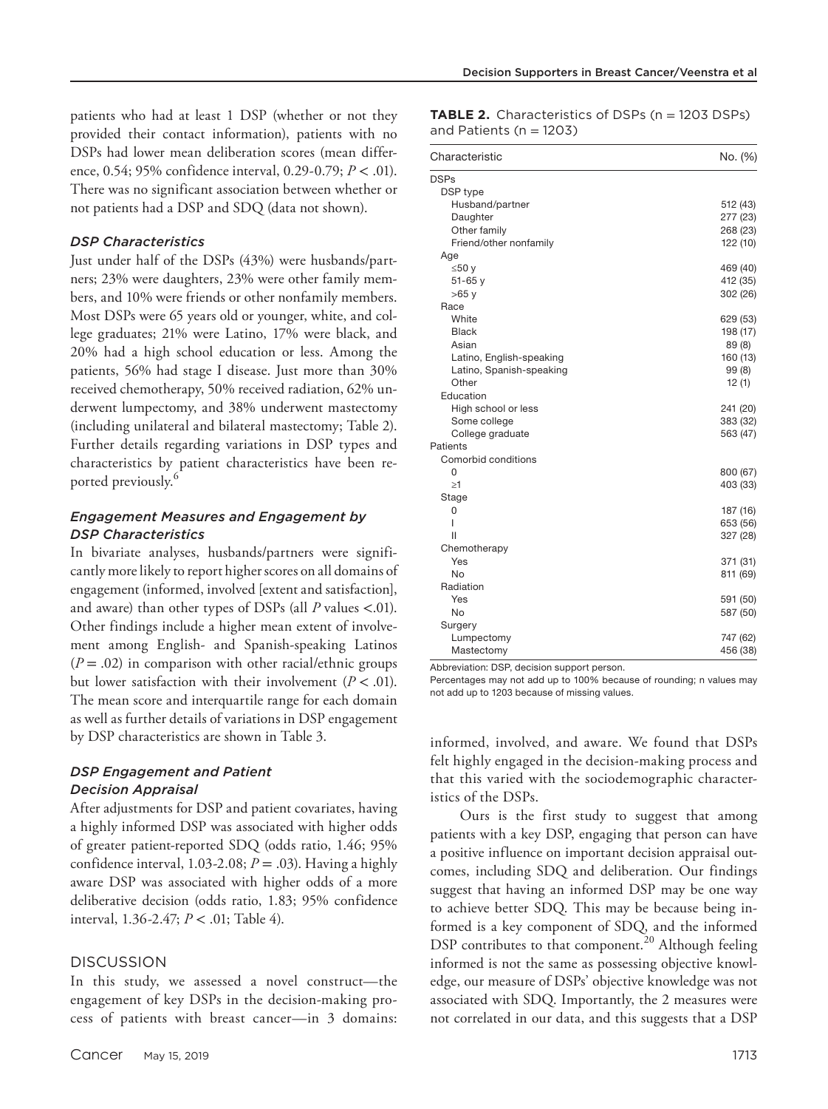patients who had at least 1 DSP (whether or not they provided their contact information), patients with no DSPs had lower mean deliberation scores (mean difference, 0.54; 95% confidence interval, 0.29-0.79; *P* < .01). There was no significant association between whether or not patients had a DSP and SDQ (data not shown).

## *DSP Characteristics*

Just under half of the DSPs (43%) were husbands/partners; 23% were daughters, 23% were other family members, and 10% were friends or other nonfamily members. Most DSPs were 65 years old or younger, white, and college graduates; 21% were Latino, 17% were black, and 20% had a high school education or less. Among the patients, 56% had stage I disease. Just more than 30% received chemotherapy, 50% received radiation, 62% underwent lumpectomy, and 38% underwent mastectomy (including unilateral and bilateral mastectomy; Table 2). Further details regarding variations in DSP types and characteristics by patient characteristics have been reported previously.<sup>6</sup>

## *Engagement Measures and Engagement by DSP Characteristics*

In bivariate analyses, husbands/partners were significantly more likely to report higher scores on all domains of engagement (informed, involved [extent and satisfaction], and aware) than other types of DSPs (all *P* values <.01). Other findings include a higher mean extent of involvement among English- and Spanish-speaking Latinos  $(P = .02)$  in comparison with other racial/ethnic groups but lower satisfaction with their involvement  $(P < .01)$ . The mean score and interquartile range for each domain as well as further details of variations in DSP engagement by DSP characteristics are shown in Table 3.

## *DSP Engagement and Patient Decision Appraisal*

After adjustments for DSP and patient covariates, having a highly informed DSP was associated with higher odds of greater patient-reported SDQ (odds ratio, 1.46; 95% confidence interval, 1.03-2.08;  $P = .03$ ). Having a highly aware DSP was associated with higher odds of a more deliberative decision (odds ratio, 1.83; 95% confidence interval, 1.36-2.47; *P* < .01; Table 4).

## DISCUSSION

In this study, we assessed a novel construct—the engagement of key DSPs in the decision-making process of patients with breast cancer—in 3 domains: **TABLE 2.** Characteristics of DSPs (n = 1203 DSPs) and Patients (n = 1203)

| Characteristic           | No. (%)  |
|--------------------------|----------|
| <b>DSPs</b>              |          |
| DSP type                 |          |
| Husband/partner          | 512 (43) |
| Daughter                 | 277 (23) |
| Other family             | 268 (23) |
| Friend/other nonfamily   | 122 (10) |
| Age                      |          |
| ≤50 y                    | 469 (40) |
| $51 - 65y$               | 412 (35) |
| $>65$ y                  | 302 (26) |
| Race                     |          |
| White                    | 629 (53) |
| Black                    | 198 (17) |
| Asian                    | 89 (8)   |
| Latino, English-speaking | 160 (13) |
| Latino, Spanish-speaking | 99 (8)   |
| Other                    | 12(1)    |
| Education                |          |
| High school or less      | 241 (20) |
| Some college             | 383 (32) |
| College graduate         | 563 (47) |
| Patients                 |          |
| Comorbid conditions      |          |
| 0                        | 800 (67) |
| $\geq$ 1                 | 403 (33) |
| Stage                    |          |
| 0                        | 187 (16) |
| ı                        | 653 (56) |
| Ш                        | 327 (28) |
| Chemotherapy             |          |
| Yes                      | 371 (31) |
| No                       | 811 (69) |
| Radiation                |          |
| Yes                      | 591 (50) |
| No                       | 587 (50) |
| Surgery                  |          |
| Lumpectomy               | 747 (62) |
| Mastectomy               | 456 (38) |

Abbreviation: DSP, decision support person.

Percentages may not add up to 100% because of rounding; n values may not add up to 1203 because of missing values.

informed, involved, and aware. We found that DSPs felt highly engaged in the decision-making process and that this varied with the sociodemographic characteristics of the DSPs.

Ours is the first study to suggest that among patients with a key DSP, engaging that person can have a positive influence on important decision appraisal outcomes, including SDQ and deliberation. Our findings suggest that having an informed DSP may be one way to achieve better SDQ. This may be because being informed is a key component of SDQ, and the informed DSP contributes to that component.<sup>20</sup> Although feeling informed is not the same as possessing objective knowledge, our measure of DSPs' objective knowledge was not associated with SDQ. Importantly, the 2 measures were not correlated in our data, and this suggests that a DSP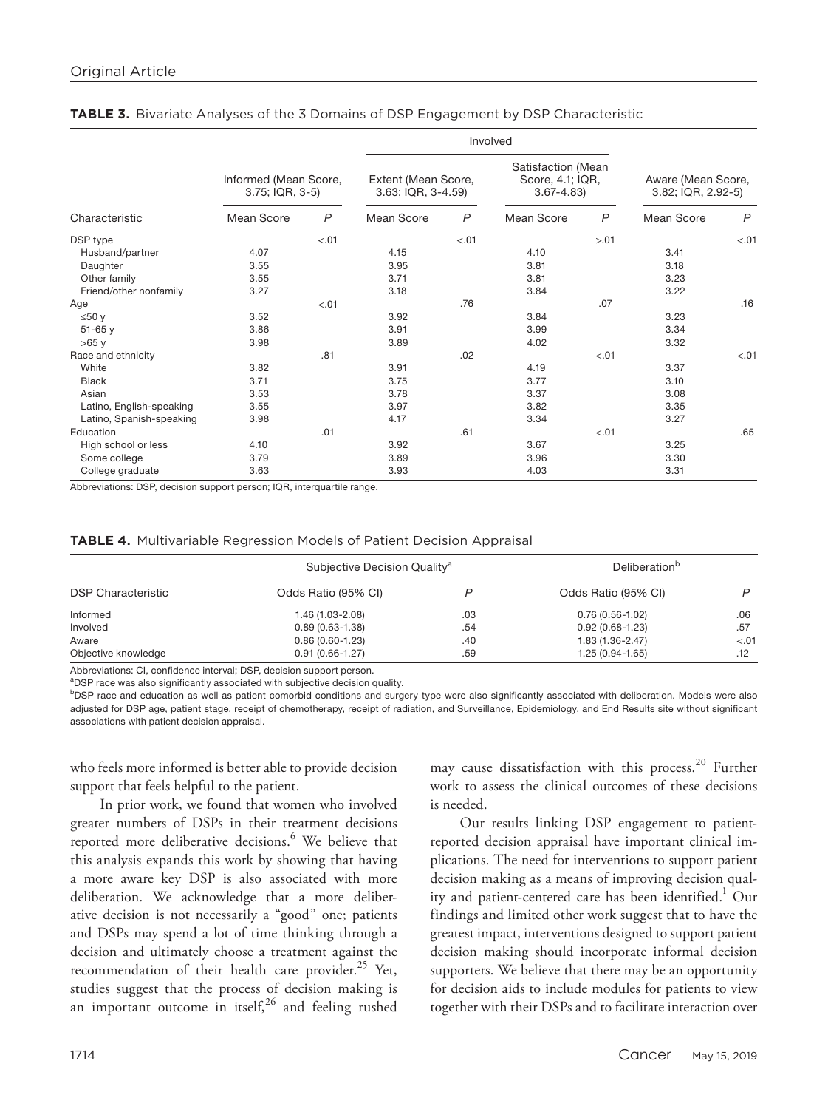|                          |                                          |                | Involved                                  |                |                                                         |        |                                          |                |
|--------------------------|------------------------------------------|----------------|-------------------------------------------|----------------|---------------------------------------------------------|--------|------------------------------------------|----------------|
|                          | Informed (Mean Score,<br>3.75; IQR, 3-5) |                | Extent (Mean Score,<br>3.63; IQR, 3-4.59) |                | Satisfaction (Mean<br>Score, 4.1; IQR,<br>$3.67 - 4.83$ |        | Aware (Mean Score,<br>3.82; IQR, 2.92-5) |                |
| Characteristic           | Mean Score                               | $\overline{P}$ | Mean Score                                | $\overline{P}$ | Mean Score                                              | P      | Mean Score                               | $\overline{P}$ |
| DSP type                 |                                          | < .01          |                                           | < .01          |                                                         | > 0.01 |                                          | $-.01$         |
| Husband/partner          | 4.07                                     |                | 4.15                                      |                | 4.10                                                    |        | 3.41                                     |                |
| Daughter                 | 3.55                                     |                | 3.95                                      |                | 3.81                                                    |        | 3.18                                     |                |
| Other family             | 3.55                                     |                | 3.71                                      |                | 3.81                                                    |        | 3.23                                     |                |
| Friend/other nonfamily   | 3.27                                     |                | 3.18                                      |                | 3.84                                                    |        | 3.22                                     |                |
| Age                      |                                          | < .01          |                                           | .76            |                                                         | .07    |                                          | .16            |
| ≤50 y                    | 3.52                                     |                | 3.92                                      |                | 3.84                                                    |        | 3.23                                     |                |
| $51 - 65y$               | 3.86                                     |                | 3.91                                      |                | 3.99                                                    |        | 3.34                                     |                |
| >65y                     | 3.98                                     |                | 3.89                                      |                | 4.02                                                    |        | 3.32                                     |                |
| Race and ethnicity       |                                          | .81            |                                           | .02            |                                                         | $-.01$ |                                          | $-.01$         |
| White                    | 3.82                                     |                | 3.91                                      |                | 4.19                                                    |        | 3.37                                     |                |
| <b>Black</b>             | 3.71                                     |                | 3.75                                      |                | 3.77                                                    |        | 3.10                                     |                |
| Asian                    | 3.53                                     |                | 3.78                                      |                | 3.37                                                    |        | 3.08                                     |                |
| Latino, English-speaking | 3.55                                     |                | 3.97                                      |                | 3.82                                                    |        | 3.35                                     |                |
| Latino, Spanish-speaking | 3.98                                     |                | 4.17                                      |                | 3.34                                                    |        | 3.27                                     |                |
| Education                |                                          | .01            |                                           | .61            |                                                         | $-.01$ |                                          | .65            |
| High school or less      | 4.10                                     |                | 3.92                                      |                | 3.67                                                    |        | 3.25                                     |                |
| Some college             | 3.79                                     |                | 3.89                                      |                | 3.96                                                    |        | 3.30                                     |                |
| College graduate         | 3.63                                     |                | 3.93                                      |                | 4.03                                                    |        | 3.31                                     |                |

## **TABLE 3.** Bivariate Analyses of the 3 Domains of DSP Engagement by DSP Characteristic

Abbreviations: DSP, decision support person; IQR, interquartile range.

## **TABLE 4.** Multivariable Regression Models of Patient Decision Appraisal

|                           | Subjective Decision Quality <sup>a</sup> |     | Deliberation <sup>b</sup> |        |  |
|---------------------------|------------------------------------------|-----|---------------------------|--------|--|
| <b>DSP Characteristic</b> | Odds Ratio (95% CI)                      |     | Odds Ratio (95% CI)       |        |  |
| Informed                  | 1.46 (1.03-2.08)                         | .03 | $0.76(0.56-1.02)$         | .06    |  |
| Involved                  | $0.89(0.63 - 1.38)$                      | .54 | $0.92(0.68-1.23)$         | .57    |  |
| Aware                     | $0.86(0.60-1.23)$                        | .40 | $1.83(1.36 - 2.47)$       | $-.01$ |  |
| Objective knowledge       | $0.91(0.66 - 1.27)$                      | .59 | $1.25(0.94 - 1.65)$       | .12    |  |

Abbreviations: CI, confidence interval; DSP, decision support person.

<sup>a</sup>DSP race was also significantly associated with subjective decision quality.

<sup>b</sup>DSP race and education as well as patient comorbid conditions and surgery type were also significantly associated with deliberation. Models were also adjusted for DSP age, patient stage, receipt of chemotherapy, receipt of radiation, and Surveillance, Epidemiology, and End Results site without significant associations with patient decision appraisal.

who feels more informed is better able to provide decision support that feels helpful to the patient.

In prior work, we found that women who involved greater numbers of DSPs in their treatment decisions reported more deliberative decisions.<sup>6</sup> We believe that this analysis expands this work by showing that having a more aware key DSP is also associated with more deliberation. We acknowledge that a more deliberative decision is not necessarily a "good" one; patients and DSPs may spend a lot of time thinking through a decision and ultimately choose a treatment against the recommendation of their health care provider. $^{25}$  Yet, studies suggest that the process of decision making is an important outcome in itself, $^{26}$  and feeling rushed

may cause dissatisfaction with this process.<sup>20</sup> Further work to assess the clinical outcomes of these decisions is needed.

Our results linking DSP engagement to patientreported decision appraisal have important clinical implications. The need for interventions to support patient decision making as a means of improving decision quality and patient-centered care has been identified.<sup>1</sup> Our findings and limited other work suggest that to have the greatest impact, interventions designed to support patient decision making should incorporate informal decision supporters. We believe that there may be an opportunity for decision aids to include modules for patients to view together with their DSPs and to facilitate interaction over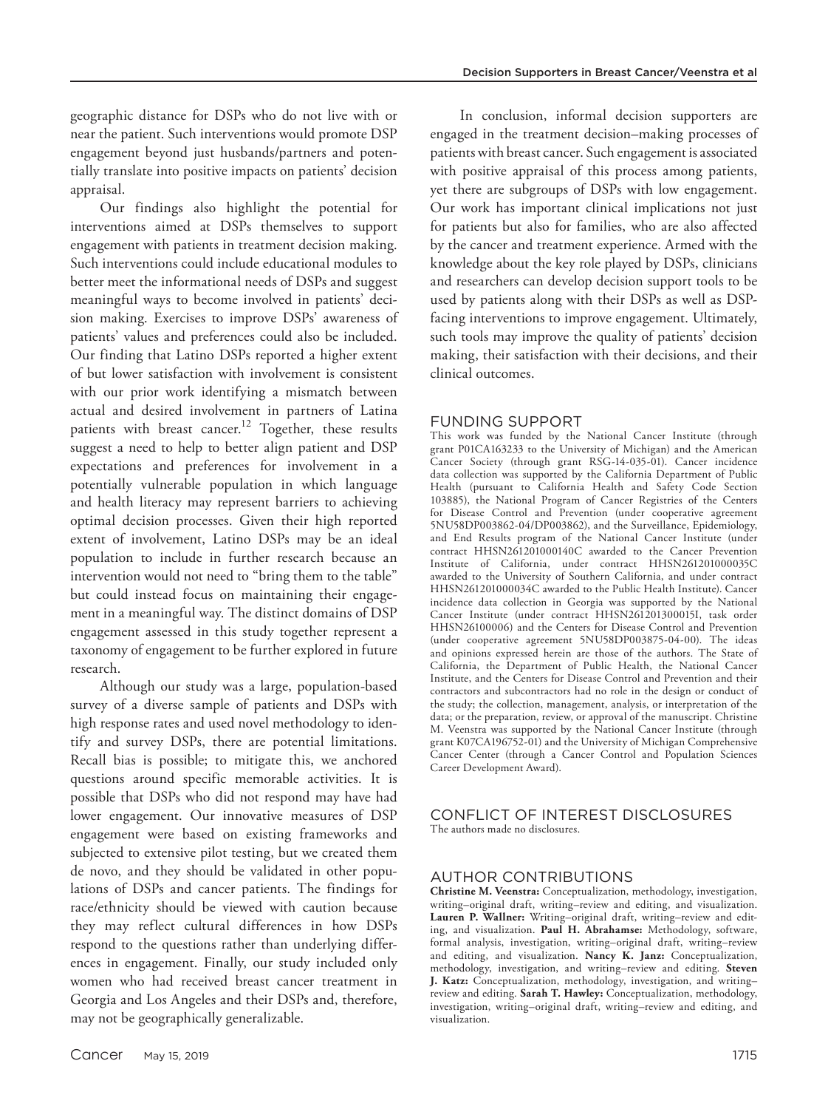geographic distance for DSPs who do not live with or near the patient. Such interventions would promote DSP engagement beyond just husbands/partners and potentially translate into positive impacts on patients' decision appraisal.

Our findings also highlight the potential for interventions aimed at DSPs themselves to support engagement with patients in treatment decision making. Such interventions could include educational modules to better meet the informational needs of DSPs and suggest meaningful ways to become involved in patients' decision making. Exercises to improve DSPs' awareness of patients' values and preferences could also be included. Our finding that Latino DSPs reported a higher extent of but lower satisfaction with involvement is consistent with our prior work identifying a mismatch between actual and desired involvement in partners of Latina patients with breast cancer.<sup>12</sup> Together, these results suggest a need to help to better align patient and DSP expectations and preferences for involvement in a potentially vulnerable population in which language and health literacy may represent barriers to achieving optimal decision processes. Given their high reported extent of involvement, Latino DSPs may be an ideal population to include in further research because an intervention would not need to "bring them to the table" but could instead focus on maintaining their engagement in a meaningful way. The distinct domains of DSP engagement assessed in this study together represent a taxonomy of engagement to be further explored in future research.

Although our study was a large, population-based survey of a diverse sample of patients and DSPs with high response rates and used novel methodology to identify and survey DSPs, there are potential limitations. Recall bias is possible; to mitigate this, we anchored questions around specific memorable activities. It is possible that DSPs who did not respond may have had lower engagement. Our innovative measures of DSP engagement were based on existing frameworks and subjected to extensive pilot testing, but we created them de novo, and they should be validated in other populations of DSPs and cancer patients. The findings for race/ethnicity should be viewed with caution because they may reflect cultural differences in how DSPs respond to the questions rather than underlying differences in engagement. Finally, our study included only women who had received breast cancer treatment in Georgia and Los Angeles and their DSPs and, therefore, may not be geographically generalizable.

In conclusion, informal decision supporters are engaged in the treatment decision–making processes of patients with breast cancer. Such engagement is associated with positive appraisal of this process among patients, yet there are subgroups of DSPs with low engagement. Our work has important clinical implications not just for patients but also for families, who are also affected by the cancer and treatment experience. Armed with the knowledge about the key role played by DSPs, clinicians and researchers can develop decision support tools to be used by patients along with their DSPs as well as DSPfacing interventions to improve engagement. Ultimately, such tools may improve the quality of patients' decision making, their satisfaction with their decisions, and their clinical outcomes.

# FUNDING SUPPORT

This work was funded by the National Cancer Institute (through grant P01CA163233 to the University of Michigan) and the American Cancer Society (through grant RSG-14-035-01). Cancer incidence data collection was supported by the California Department of Public Health (pursuant to California Health and Safety Code Section 103885), the National Program of Cancer Registries of the Centers for Disease Control and Prevention (under cooperative agreement 5NU58DP003862-04/DP003862), and the Surveillance, Epidemiology, and End Results program of the National Cancer Institute (under contract HHSN261201000140C awarded to the Cancer Prevention Institute of California, under contract HHSN261201000035C awarded to the University of Southern California, and under contract HHSN261201000034C awarded to the Public Health Institute). Cancer incidence data collection in Georgia was supported by the National Cancer Institute (under contract HHSN261201300015I, task order HHSN26100006) and the Centers for Disease Control and Prevention (under cooperative agreement 5NU58DP003875-04-00). The ideas and opinions expressed herein are those of the authors. The State of California, the Department of Public Health, the National Cancer Institute, and the Centers for Disease Control and Prevention and their contractors and subcontractors had no role in the design or conduct of the study; the collection, management, analysis, or interpretation of the data; or the preparation, review, or approval of the manuscript. Christine M. Veenstra was supported by the National Cancer Institute (through grant K07CA196752-01) and the University of Michigan Comprehensive Cancer Center (through a Cancer Control and Population Sciences Career Development Award).

#### CONFLICT OF INTEREST DISCLOSURES The authors made no disclosures.

## AUTHOR CONTRIBUTIONS

**Christine M. Veenstra:** Conceptualization, methodology, investigation, writing–original draft, writing–review and editing, and visualization. **Lauren P. Wallner:** Writing–original draft, writing–review and editing, and visualization. **Paul H. Abrahamse:** Methodology, software, formal analysis, investigation, writing–original draft, writing–review and editing, and visualization. **Nancy K. Janz:** Conceptualization, methodology, investigation, and writing–review and editing. **Steven J. Katz:** Conceptualization, methodology, investigation, and writing– review and editing. **Sarah T. Hawley:** Conceptualization, methodology, investigation, writing–original draft, writing–review and editing, and visualization.